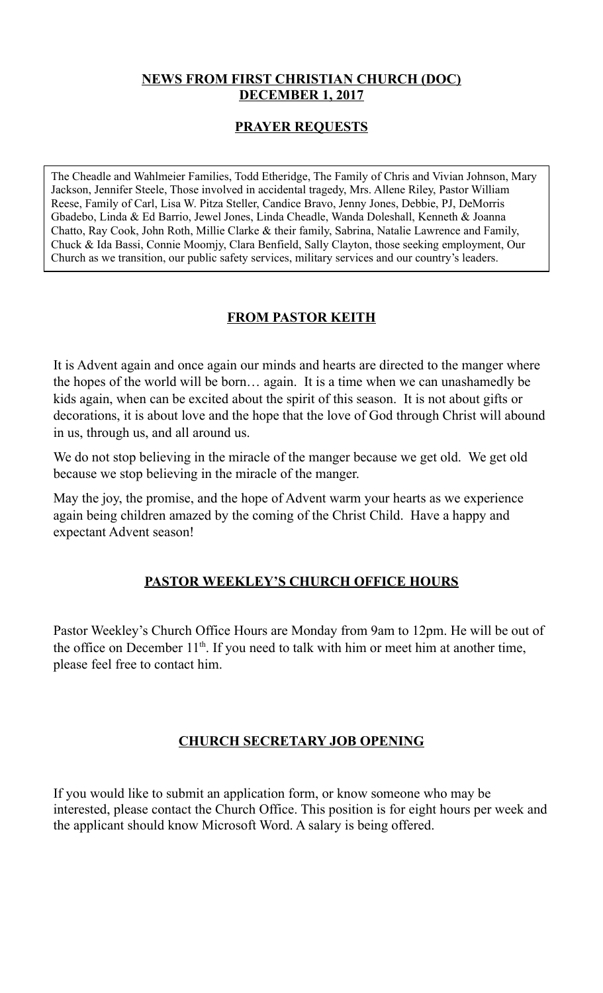### **NEWS FROM FIRST CHRISTIAN CHURCH (DOC) DECEMBER 1, 2017**

### **PRAYER REQUESTS**

The Cheadle and Wahlmeier Families, Todd Etheridge, The Family of Chris and Vivian Johnson, Mary Jackson, Jennifer Steele, Those involved in accidental tragedy, Mrs. Allene Riley, Pastor William Reese, Family of Carl, Lisa W. Pitza Steller, Candice Bravo, Jenny Jones, Debbie, PJ, DeMorris Gbadebo, Linda & Ed Barrio, Jewel Jones, Linda Cheadle, Wanda Doleshall, Kenneth & Joanna Chatto, Ray Cook, John Roth, Millie Clarke & their family, Sabrina, Natalie Lawrence and Family, Chuck & Ida Bassi, Connie Moomjy, Clara Benfield, Sally Clayton, those seeking employment, Our Church as we transition, our public safety services, military services and our country's leaders.

### **FROM PASTOR KEITH**

It is Advent again and once again our minds and hearts are directed to the manger where the hopes of the world will be born… again. It is a time when we can unashamedly be kids again, when can be excited about the spirit of this season. It is not about gifts or decorations, it is about love and the hope that the love of God through Christ will abound in us, through us, and all around us.

We do not stop believing in the miracle of the manger because we get old. We get old because we stop believing in the miracle of the manger.

May the joy, the promise, and the hope of Advent warm your hearts as we experience again being children amazed by the coming of the Christ Child. Have a happy and expectant Advent season!

#### **PASTOR WEEKLEY'S CHURCH OFFICE HOURS**

Pastor Weekley's Church Office Hours are Monday from 9am to 12pm. He will be out of the office on December  $11<sup>th</sup>$ . If you need to talk with him or meet him at another time, please feel free to contact him.

#### **CHURCH SECRETARY JOB OPENING**

If you would like to submit an application form, or know someone who may be interested, please contact the Church Office. This position is for eight hours per week and the applicant should know Microsoft Word. A salary is being offered.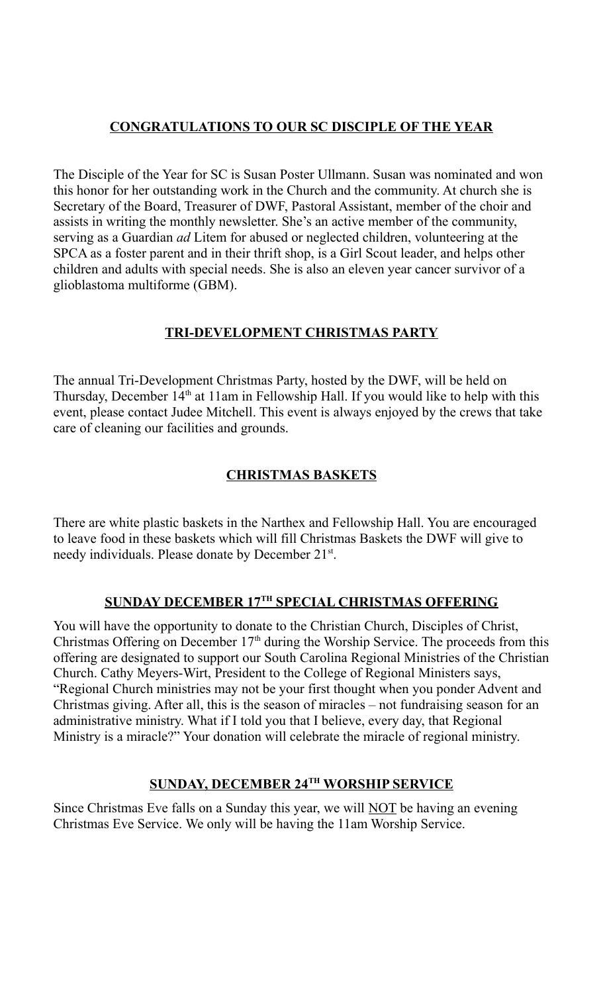## **CONGRATULATIONS TO OUR SC DISCIPLE OF THE YEAR**

The Disciple of the Year for SC is Susan Poster Ullmann. Susan was nominated and won this honor for her outstanding work in the Church and the community. At church she is Secretary of the Board, Treasurer of DWF, Pastoral Assistant, member of the choir and assists in writing the monthly newsletter. She's an active member of the community, serving as a Guardian *ad* Litem for abused or neglected children, volunteering at the SPCA as a foster parent and in their thrift shop, is a Girl Scout leader, and helps other children and adults with special needs. She is also an eleven year cancer survivor of a glioblastoma multiforme (GBM).

### **TRI-DEVELOPMENT CHRISTMAS PARTY**

The annual Tri-Development Christmas Party, hosted by the DWF, will be held on Thursday, December  $14<sup>th</sup>$  at 11am in Fellowship Hall. If you would like to help with this event, please contact Judee Mitchell. This event is always enjoyed by the crews that take care of cleaning our facilities and grounds.

# **CHRISTMAS BASKETS**

There are white plastic baskets in the Narthex and Fellowship Hall. You are encouraged to leave food in these baskets which will fill Christmas Baskets the DWF will give to needy individuals. Please donate by December 21st.

#### **SUNDAY DECEMBER 17TH SPECIAL CHRISTMAS OFFERING**

You will have the opportunity to donate to the Christian Church, Disciples of Christ, Christmas Offering on December  $17<sup>th</sup>$  during the Worship Service. The proceeds from this offering are designated to support our South Carolina Regional Ministries of the Christian Church. Cathy Meyers-Wirt, President to the College of Regional Ministers says, "Regional Church ministries may not be your first thought when you ponder Advent and Christmas giving. After all, this is the season of miracles – not fundraising season for an administrative ministry. What if I told you that I believe, every day, that Regional Ministry is a miracle?" Your donation will celebrate the miracle of regional ministry.

## **SUNDAY, DECEMBER 24TH WORSHIP SERVICE**

Since Christmas Eve falls on a Sunday this year, we will **NOT** be having an evening Christmas Eve Service. We only will be having the 11am Worship Service.